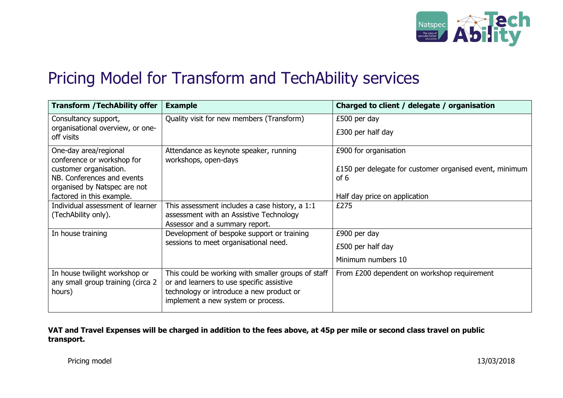

## Pricing Model for Transform and TechAbility services

| <b>Transform / TechAbility offer</b>                                                 | <b>Example</b>                                                                                                                                                                    | Charged to client / delegate / organisation                     |
|--------------------------------------------------------------------------------------|-----------------------------------------------------------------------------------------------------------------------------------------------------------------------------------|-----------------------------------------------------------------|
| Consultancy support,<br>organisational overview, or one-<br>off visits               | Quality visit for new members (Transform)                                                                                                                                         | £500 per day                                                    |
|                                                                                      |                                                                                                                                                                                   | £300 per half day                                               |
| One-day area/regional<br>conference or workshop for                                  | Attendance as keynote speaker, running<br>workshops, open-days                                                                                                                    | £900 for organisation                                           |
| customer organisation.<br>NB. Conferences and events<br>organised by Natspec are not |                                                                                                                                                                                   | £150 per delegate for customer organised event, minimum<br>of 6 |
| factored in this example.                                                            |                                                                                                                                                                                   | Half day price on application                                   |
| Individual assessment of learner<br>(TechAbility only).                              | This assessment includes a case history, a 1:1<br>assessment with an Assistive Technology<br>Assessor and a summary report.                                                       | £275                                                            |
| In house training                                                                    | Development of bespoke support or training<br>sessions to meet organisational need.                                                                                               | £900 per day                                                    |
|                                                                                      |                                                                                                                                                                                   | £500 per half day                                               |
|                                                                                      |                                                                                                                                                                                   | Minimum numbers 10                                              |
| In house twilight workshop or<br>any small group training (circa 2<br>hours)         | This could be working with smaller groups of staff<br>or and learners to use specific assistive<br>technology or introduce a new product or<br>implement a new system or process. | From £200 dependent on workshop requirement                     |

## **VAT and Travel Expenses will be charged in addition to the fees above, at 45p per mile or second class travel on public transport.**